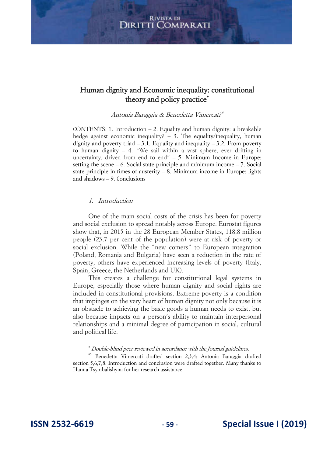# Human dignity and Economic inequality: constitutional theory and policy practice

Antonia Baraggia & Benedetta Vimercati

CONTENTS: 1. Introduction – 2. Equality and human dignity: a breakable hedge against economic inequality?  $-$  3. The equality/inequality, human dignity and poverty triad  $-3.1$ . Equality and inequality  $-3.2$ . From poverty to human dignity – 4. "We sail within a vast sphere, ever drifting in uncertainty, driven from end to end" – 5. Minimum Income in Europe: setting the scene – 6. Social state principle and minimum income – 7. Social state principle in times of austerity  $-8$ . Minimum income in Europe: lights and shadows – 9. Conclusions

#### 1. Introduction

One of the main social costs of the crisis has been for poverty and social exclusion to spread notably across Europe. Eurostat figures show that, in 2015 in the 28 European Member States, 118.8 million people (23.7 per cent of the population) were at risk of poverty or social exclusion. While the "new comers" to European integration (Poland, Romania and Bulgaria) have seen a reduction in the rate of poverty, others have experienced increasing levels of poverty (Italy, Spain, Greece, the Netherlands and UK).

This creates a challenge for constitutional legal systems in Europe, especially those where human dignity and social rights are included in constitutional provisions. Extreme poverty is a condition that impinges on the very heart of human dignity not only because it is an obstacle to achieving the basic goods a human needs to exist, but also because impacts on a person's ability to maintain interpersonal relationships and a minimal degree of participation in social, cultural and political life.

Double-blind peer reviewed in accordance with the Journal guidelines.

Benedetta Vimercati drafted section 2,3,4; Antonia Baraggia drafted section 5,6,7,8. Introduction and conclusion were drafted together. Many thanks to Hanna Tsymbalishyna for her research assistance.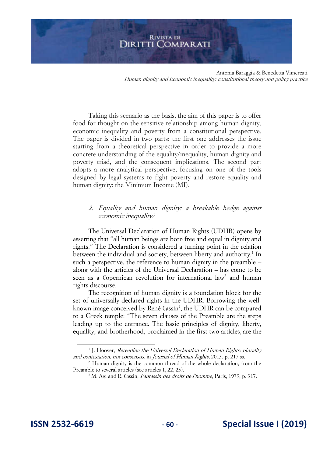Antonia Baraggia & Benedetta Vimercati Human dignity and Economic inequality: constitutional theory and policy practice

Taking this scenario as the basis, the aim of this paper is to offer food for thought on the sensitive relationship among human dignity, economic inequality and poverty from a constitutional perspective. The paper is divided in two parts: the first one addresses the issue starting from a theoretical perspective in order to provide a more concrete understanding of the equality/inequality, human dignity and poverty triad, and the consequent implications. The second part adopts a more analytical perspective, focusing on one of the tools designed by legal systems to fight poverty and restore equality and human dignity: the Minimum Income (MI).

## 2. Equality and human dignity: a breakable hedge against economic inequality?

The Universal Declaration of Human Rights (UDHR) opens by asserting that "all human beings are born free and equal in dignity and rights." The Declaration is considered a turning point in the relation between the individual and society, between liberty and authority.<sup>1</sup> In such a perspective, the reference to human dignity in the preamble – along with the articles of the Universal Declaration – has come to be seen as a Copernican revolution for international law<sup>2</sup> and human rights discourse.

The recognition of human dignity is a foundation block for the set of universally-declared rights in the UDHR. Borrowing the wellknown image conceived by René Cassin<sup>3</sup>, the UDHR can be compared to a Greek temple: "The seven clauses of the Preamble are the steps leading up to the entrance. The basic principles of dignity, liberty, equality, and brotherhood, proclaimed in the first two articles, are the

 $1$  J. Hoover, *Rereading the Universal Declaration of Human Rights: plurality* and contestation, not consensus, in Journal of Human Rights, 2013, p. 217 ss.

<sup>&</sup>lt;sup>2</sup> Human dignity is the common thread of the whole declaration, from the Preamble to several articles (see articles 1, 22, 23).

<sup>&</sup>lt;sup>3</sup> M. Agi and R. Cassin, *Fantassin des droits de l'homme*, Paris, 1979, p. 317.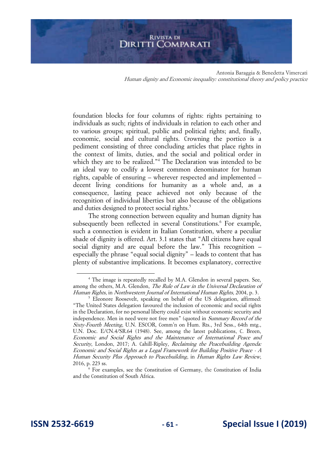Antonia Baraggia & Benedetta Vimercati Human dignity and Economic inequality: constitutional theory and policy practice

foundation blocks for four columns of rights: rights pertaining to individuals as such; rights of individuals in relation to each other and to various groups; spiritual, public and political rights; and, finally, economic, social and cultural rights. Crowning the portico is a pediment consisting of three concluding articles that place rights in the context of limits, duties, and the social and political order in which they are to be realized."<sup>4</sup> The Declaration was intended to be an ideal way to codify a lowest common denominator for human rights, capable of ensuring – wherever respected and implemented – decent living conditions for humanity as a whole and, as a consequence, lasting peace achieved not only because of the recognition of individual liberties but also because of the obligations and duties designed to protect social rights.<sup>5</sup>

The strong connection between equality and human dignity has subsequently been reflected in several Constitutions.<sup>6</sup> For example, such a connection is evident in Italian Constitution, where a peculiar shade of dignity is offered. Art. 3.1 states that "All citizens have equal social dignity and are equal before the law." This recognition – especially the phrase "equal social dignity" – leads to content that has plenty of substantive implications. It becomes explanatory, corrective

<sup>&</sup>lt;sup>4</sup> The image is repeatedly recalled by M.A. Glendon in several papers. See, among the others, M.A. Glendon, The Rule of Law in the Universal Declaration of Human Rights, in Northwestern Journal of International Human Rights, 2004, p. 3.

<sup>&</sup>lt;sup>5</sup> Eleonore Roosevelt, speaking on behalf of the US delegation, affirmed: "The United States delegation favoured the inclusion of economic and social rights in the Declaration, for no personal liberty could exist without economic security and independence. Men in need were not free men" (quoted in Summary Record of the Sixty-Fourth Meeting, U.N. ESCOR, Comm'n on Hum. Rts., 3rd Sess., 64th mtg., U.N. Doc. E/CN.4/SR.64 (1948). See, among the latest publications, C. Breen, Economic and Social Rights and the Maintenance of International Peace and Security, London, 2017; A. Cahill-Ripley, Reclaiming the Peacebuilding Agenda: Economic and Social Rights as a Legal Framework for Building Positive Peace - A Human Security Plus Approach to Peacebuilding, in Human Rights Law Review, 2016, p. 223 ss.

<sup>6</sup> For examples, see the Constitution of Germany, the Constitution of India and the Constitution of South Africa.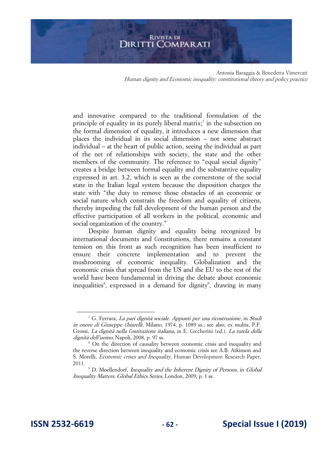Antonia Baraggia & Benedetta Vimercati Human dignity and Economic inequality: constitutional theory and policy practice

and innovative compared to the traditional formulation of the principle of equality in its purely liberal matrix;<sup>7</sup> in the subsection on the formal dimension of equality, it introduces a new dimension that places the individual in its social dimension – not some abstract individual – at the heart of public action, seeing the individual as part of the net of relationships with society, the state and the other members of the community. The reference to "equal social dignity" creates a bridge between formal equality and the substantive equality expressed in art. 3.2, which is seen as the cornerstone of the social state in the Italian legal system because the disposition charges the state with "the duty to remove those obstacles of an economic or social nature which constrain the freedom and equality of citizens, thereby impeding the full development of the human person and the effective participation of all workers in the political, economic and social organization of the country."

Despite human dignity and equality being recognized by international documents and Constitutions, there remains a constant tension on this front as such recognition has been insufficient to ensure their concrete implementation and to prevent the mushrooming of economic inequality. Globalization and the economic crisis that spread from the US and the EU to the rest of the world have been fundamental in driving the debate about economic inequalities<sup>8</sup>, expressed in a demand for dignity<sup>9</sup>, drawing in many

<sup>&</sup>lt;sup>7</sup> G. Ferrara, *La pari dignità sociale. Appunti per una ricostruzione*, in *Studi* in onore di Giuseppe Chiarelli, Milano, 1974, p. 1089 ss.; see also, ex multis, P.F. Grossi, La dignità nella Costituzione italiana, in E. Ceccherini (ed.), La tutela della dignità dell'uomo, Napoli, 2008, p. 97 ss.

<sup>&</sup>lt;sup>8</sup> On the direction of causality between economic crisis and inequality and the reverse direction between inequality and economic crisis see A.B. Atkinson and S. Morelli, Economic crises and Inequality, Human Development Research Paper, 2011.

<sup>&</sup>lt;sup>9</sup> D. Moellendorf, *Inequality and the Inherent Dignity of Persons*, in *Global* Inequality Matters. Global Ethics Series, London, 2009, p. 1 ss.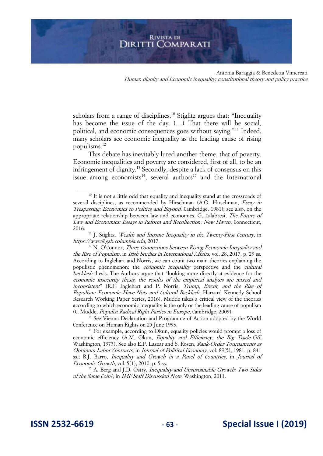Antonia Baraggia & Benedetta Vimercati Human dignity and Economic inequality: constitutional theory and policy practice

scholars from a range of disciplines.<sup>10</sup> Stiglitz argues that: "Inequality has become the issue of the day. (…) That there will be social, political, and economic consequences goes without saying."<sup>11</sup> Indeed, many scholars see economic inequality as the leading cause of rising populisms.<sup>12</sup>

This debate has inevitably lured another theme, that of poverty. Economic inequalities and poverty are considered, first of all, to be an infringement of dignity.<sup>13</sup> Secondly, despite a lack of consensus on this issue among economists<sup>14</sup>, several authors<sup>15</sup> and the International

<sup>13</sup> See Vienna Declaration and Programme of Action adopted by the World Conference on Human Rights on 25 June 1993.

<sup>15</sup> A. Berg and J.D. Ostry, *Inequality and Unsustainable Growth: Two Sides* of the Same Coin?, in IMF Staff Discussion Note, Washington, 2011.

 $10$  It is not a little odd that equality and inequality stand at the crossroads of several disciplines, as recommended by Hirschman (A.O. Hirschman, *Essay in* Trespassing: Economics to Politics and Beyond, Cambridge, 1981); see also, on the appropriate relationship between law and economics, G. Calabresi, The Future of Law and Economics: Essays in Reform and Recollection, New Haven, Connecticut, 2016.

 $11$  J. Stiglitz, Wealth and Income Inequality in the Twenty-First Century, in https://www8.gsb.columbia.edu, 2017.

 $12$  N. O'Connor, *Three Connections between Rising Economic Inequality and* the Rise of Populism, in Irish Studies in International Affairs, vol. 28, 2017, p. 29 ss. According to Inglehart and Norris, we can count two main theories explaining the populistic phenomenon: the *economic inequality* perspective and the *cultural* backlash thesis. The Authors argue that "looking more directly at evidence for the economic insecurity thesis, the results of the empirical analysis are mixed and inconsistent" (R.F. Inglehart and P. Norris, Trump, Brexit, and the Rise of Populism: Economic Have-Nots and Cultural Backlash, Harvard Kennedy School Research Working Paper Series, 2016). Mudde takes a critical view of the theories according to which economic inequality is the only or the leading cause of populism (C. Mudde, Populist Radical Right Parties in Europe, Cambridge, 2009).

<sup>&</sup>lt;sup>14</sup> For example, according to Okun, equality policies would prompt a loss of economic efficiency (A.M. Okun, Equality and Efficiency: the Big Trade-Off, Washington, 1975). See also E.P. Lazear and S. Rosen, Rank-Order Tournaments as Optimum Labor Contracts, in Journal of Political Economy, vol. 89(5), 1981, p. 841 ss.; R.J. Barro, Inequality and Growth in a Panel of Countries, in Journal of Economic Growth, vol.  $5(1)$ , 2010, p.  $5$  ss.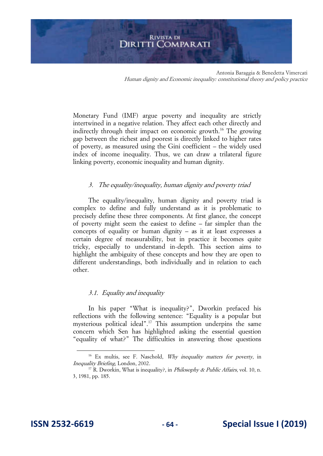Antonia Baraggia & Benedetta Vimercati Human dignity and Economic inequality: constitutional theory and policy practice

Monetary Fund (IMF) argue poverty and inequality are strictly intertwined in a negative relation. They affect each other directly and indirectly through their impact on economic growth.<sup>16</sup> The growing gap between the richest and poorest is directly linked to higher rates of poverty, as measured using the Gini coefficient – the widely used index of income inequality. Thus, we can draw a trilateral figure linking poverty, economic inequality and human dignity.

#### 3. The equality/inequality, human dignity and poverty triad

The equality/inequality, human dignity and poverty triad is complex to define and fully understand as it is problematic to precisely define these three components. At first glance, the concept of poverty might seem the easiest to define – far simpler than the concepts of equality or human dignity – as it at least expresses a certain degree of measurability, but in practice it becomes quite tricky, especially to understand in-depth. This section aims to highlight the ambiguity of these concepts and how they are open to different understandings, both individually and in relation to each other.

#### 3.1. Equality and inequality

In his paper "What is inequality?", Dworkin prefaced his reflections with the following sentence: "Equality is a popular but mysterious political ideal".<sup>17</sup> This assumption underpins the same concern which Sen has highlighted asking the essential question "equality of what?" The difficulties in answering those questions

<sup>&</sup>lt;sup>16</sup> Ex multis, see F. Naschold, *Why inequality matters for poverty*, in Inequality Briefing, London, 2002.

<sup>&</sup>lt;sup>17</sup> R. Dworkin, What is inequality?, in *Philosophy & Public Affairs*, vol. 10, n. 3, 1981, pp. 185.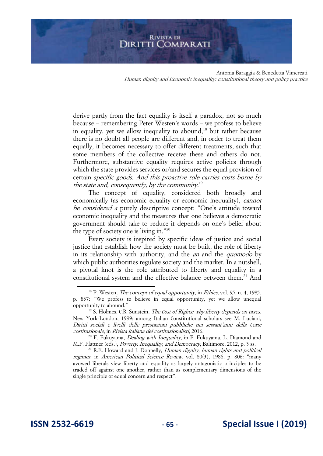Antonia Baraggia & Benedetta Vimercati Human dignity and Economic inequality: constitutional theory and policy practice

derive partly from the fact equality is itself a paradox, not so much because – remembering Peter Westen's words – we profess to believe in equality, yet we allow inequality to abound, $18$  but rather because there is no doubt all people are different and, in order to treat them equally, it becomes necessary to offer different treatments, such that some members of the collective receive these and others do not. Furthermore, substantive equality requires active policies through which the state provides services or/and secures the equal provision of certain specific goods. And this proactive role carries costs borne by the state and, consequently, by the community.<sup>19</sup>

The concept of equality, considered both broadly and economically (as economic equality or economic inequality), cannot be considered a purely descriptive concept: "One's attitude toward economic inequality and the measures that one believes a democratic government should take to reduce it depends on one's belief about the type of society one is living in."<sup>20</sup>

Every society is inspired by specific ideas of justice and social justice that establish how the society must be built, the role of liberty in its relationship with authority, and the *an* and the *quomodo* by which public authorities regulate society and the market. In a nutshell, a pivotal knot is the role attributed to liberty and equality in a constitutional system and the effective balance between them.<sup>21</sup> And

 $18$  P. Westen, *The concept of equal opportunity*, in *Ethics*, vol. 95, n. 4, 1985, p. 837: "We profess to believe in equal opportunity, yet we allow unequal opportunity to abound."

 $19$  S. Holmes, C.R. Sunstein, *The Cost of Rights: why liberty depends on taxes*, New York-London, 1999; among Italian Constitutional scholars see M. Luciani, Diritti sociali e livelli delle prestazioni pubbliche nei sessant'anni della Corte costituzionale, in Rivista italiana dei costituzionalisti, 2016.

 $20$  F. Fukuyama, *Dealing with Inequality*, in F. Fukuyama, L. Diamond and M.F. Plattner (eds.), Poverty, Inequality, and Democracy, Baltimore, 2012, p. 3 ss.

 $21$  R.E. Howard and J. Donnelly, Human dignity, human rights and political regimes, in American Political Science Review, vol. 80(3), 1986, p. 806: "many avowed liberals view liberty and equality as largely antagonistic principles to be traded off against one another, rather than as complementary dimensions of the single principle of equal concern and respect".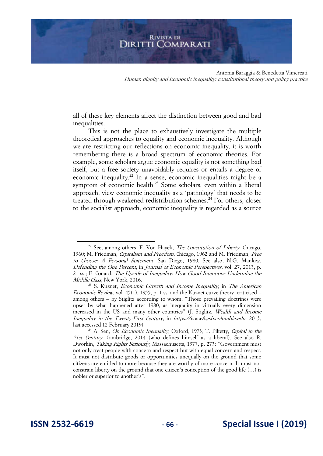Antonia Baraggia & Benedetta Vimercati Human dignity and Economic inequality: constitutional theory and policy practice

all of these key elements affect the distinction between good and bad inequalities.

This is not the place to exhaustively investigate the multiple theoretical approaches to equality and economic inequality. Although we are restricting our reflections on economic inequality, it is worth remembering there is a broad spectrum of economic theories. For example, some scholars argue economic equality is not something bad itself, but a free society unavoidably requires or entails a degree of economic inequality.<sup>22</sup> In a sense, economic inequalities might be a symptom of economic health.<sup>23</sup> Some scholars, even within a liberal approach, view economic inequality as a 'pathology' that needs to be treated through weakened redistribution schemes.<sup>24</sup> For others, closer to the socialist approach, economic inequality is regarded as a source

 $22$  See, among others, F. Von Hayek, *The Constitution of Liberty*, Chicago, 1960; M. Friedman, Capitalism and Freedom, Chicago, 1962 and M. Friedman, Free to Choose: A Personal Statement, San Diego, 1980. See also, N.G. Mankiw, Defending the One Percent, in Journal of Economic Perspectives, vol. 27, 2013, p. 21 ss.; E. Conard, The Upside of Inequality: How Good Intentions Undermine the Middle Class, New York, 2016.

 $^{23}$  S. Kuznet, *Economic Growth and Income Inequality*, in *The American* Economic Review, vol. 45(1), 1955, p. 1 ss. and the Kuznet curve theory, criticised – among others – by Stiglitz according to whom, "Those prevailing doctrines were upset by what happened after 1980, as inequality in virtually every dimension increased in the US and many other countries" (J. Stiglitz, Wealth and Income Inequality in the Twenty-First Century, in [https://www8.gsb.columbia.edu](https://www8.gsb.columbia.edu/), 2013, last accessed 12 February 2019).

<sup>&</sup>lt;sup>24</sup> A. Sen, *On Economic Inequality*, Oxford, 1973; T. Piketty, *Capital in the* 21st Century, Cambridge, 2014 (who defines himself as a liberal). See also R. Dworkin, Taking Rights Seriously, Massachusetts, 1977, p. 273: "Government must not only treat people with concern and respect but with equal concern and respect. It must not distribute goods or opportunities unequally on the ground that some citizens are entitled to more because they are worthy of more concern. It must not constrain liberty on the ground that one citizen's conception of the good life (…) is nobler or superior to another's".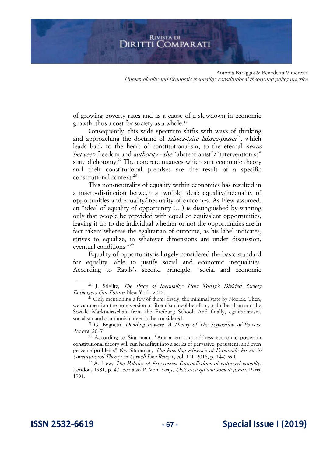Antonia Baraggia & Benedetta Vimercati Human dignity and Economic inequality: constitutional theory and policy practice

of growing poverty rates and as a cause of a slowdown in economic growth, thus a cost for society as a whole.<sup>25</sup>

Consequently, this wide spectrum shifts with ways of thinking and approaching the doctrine of *laissez-faire laissez-passer<sup>26</sup>*, which leads back to the heart of constitutionalism, to the eternal nexus between freedom and authority - the "abstentionist"/"interventionist" state dichotomy.<sup>27</sup> The concrete nuances which suit economic theory and their constitutional premises are the result of a specific constitutional context.<sup>28</sup>

This non-neutrality of equality within economics has resulted in a macro-distinction between a twofold ideal: equality/inequality of opportunities and equality/inequality of outcomes. As Flew assumed, an "ideal of equality of opportunity (…) is distinguished by wanting only that people be provided with equal or equivalent opportunities, leaving it up to the individual whether or not the opportunities are in fact taken; whereas the egalitarian of outcome, as his label indicates, strives to equalize, in whatever dimensions are under discussion, eventual conditions."<sup>29</sup>

Equality of opportunity is largely considered the basic standard for equality, able to justify social and economic inequalities. According to Rawls's second principle, "social and economic

 $25$  J. Stiglitz, The Price of Inequality: How Today's Divided Society Endangers Our Future, New York, 2012.

<sup>&</sup>lt;sup>26</sup> Only mentioning a few of them: firstly, the minimal state by Nozick. Then, we can mention the pure version of liberalism, neoliberalism, ordoliberalism and the Soziale Marktwirtschaft from the Freiburg School. And finally, egalitarianism, socialism and communism need to be considered.

 $27$  G. Bognetti, Dividing Powers. A Theory of The Separation of Powers, Padova, 2017

<sup>&</sup>lt;sup>28</sup> According to Sitaraman, "Any attempt to address economic power in constitutional theory will run headfirst into a series of pervasive, persistent, and even perverse problems" (G. Sitaraman, The Puzzling Absence of Economic Power in Constitutional Theory, in Cornell Law Review, vol. 101, 2016, p. 1445 ss.).

<sup>&</sup>lt;sup>29</sup> A. Flew, *The Politics of Procrustes. Contradictions of enforced equality*, London, 1981, p. 47. See also P. Von Parijs, Qu'est-ce qu'une societé juste?, Paris, 1991.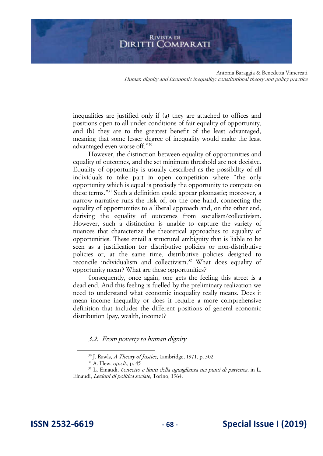Antonia Baraggia & Benedetta Vimercati Human dignity and Economic inequality: constitutional theory and policy practice

inequalities are justified only if (a) they are attached to offices and positions open to all under conditions of fair equality of opportunity, and (b) they are to the greatest benefit of the least advantaged, meaning that some lesser degree of inequality would make the least advantaged even worse off."<sup>30</sup>

However, the distinction between equality of opportunities and equality of outcomes, and the set minimum threshold are not decisive. Equality of opportunity is usually described as the possibility of all individuals to take part in open competition where "the only opportunity which is equal is precisely the opportunity to compete on these terms."<sup>31</sup> Such a definition could appear pleonastic; moreover, a narrow narrative runs the risk of, on the one hand, connecting the equality of opportunities to a liberal approach and, on the other end, deriving the equality of outcomes from socialism/collectivism. However, such a distinction is unable to capture the variety of nuances that characterize the theoretical approaches to equality of opportunities. These entail a structural ambiguity that is liable to be seen as a justification for distributive policies or non-distributive policies or, at the same time, distributive policies designed to reconcile individualism and collectivism.<sup>32</sup> What does equality of opportunity mean? What are these opportunities?

Consequently, once again, one gets the feeling this street is a dead end. And this feeling is fuelled by the preliminary realization we need to understand what economic inequality really means. Does it mean income inequality or does it require a more comprehensive definition that includes the different positions of general economic distribution (pay, wealth, income)?

3.2. From poverty to human dignity

<sup>30</sup> J. Rawls, A Theory of Justice, Cambridge, 1971, p. 302

 $31$  A. Flew, *op.cit.*, p. 45

 $32$  L. Einaudi, Concetto e limiti della uguaglianza nei punti di partenza, in L. Einaudi, Lezioni di politica sociale, Torino, 1964.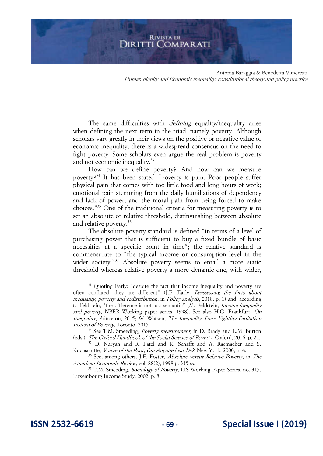Antonia Baraggia & Benedetta Vimercati Human dignity and Economic inequality: constitutional theory and policy practice

The same difficulties with *defining* equality/inequality arise when defining the next term in the triad, namely poverty. Although scholars vary greatly in their views on the positive or negative value of economic inequality, there is a widespread consensus on the need to fight poverty. Some scholars even argue the real problem is poverty and not economic inequality.<sup>33</sup>

How can we define poverty? And how can we measure poverty?<sup>34</sup> It has been stated "poverty is pain. Poor people suffer physical pain that comes with too little food and long hours of work; emotional pain stemming from the daily humiliations of dependency and lack of power; and the moral pain from being forced to make choices."<sup>35</sup> One of the traditional criteria for measuring poverty is to set an absolute or relative threshold, distinguishing between absolute and relative poverty.<sup>36</sup>

The absolute poverty standard is defined "in terms of a level of purchasing power that is sufficient to buy a fixed bundle of basic necessities at a specific point in time"; the relative standard is commensurate to "the typical income or consumption level in the wider society."<sup>37</sup> Absolute poverty seems to entail a more static threshold whereas relative poverty a more dynamic one, with wider,

<sup>&</sup>lt;sup>33</sup> Quoting Early: "despite the fact that income inequality and poverty are often conflated, they are different" (J.F. Early, Reassessing the facts about inequality, poverty and redistribution, in Policy analysis, 2018, p. 1) and, according to Feldstein, "the difference is not just semantic" (M. Feldstein, *Income inequality* and poverty, NBER Working paper series, 1998). See also H.G. Frankfurt, On Inequality, Princeton, 2015; W. Watson, The Inequality Trap: Fighting Capitalism Instead of Poverty, Toronto, 2015.

<sup>&</sup>lt;sup>34</sup> See T.M. Smeeding, *Poverty measurement*, in D. Brady and L.M. Burton (eds.), The Oxford Handbook of the Social Science of Poverty, Oxford, 2016, p. 21.

<sup>35</sup> D. Naryan and R. Patel and K. Schafft and A. Raemacher and S. Kochschltte, Voices of the Poor; Can Anyone hear Us?, New York, 2000, p. 6.

<sup>&</sup>lt;sup>36</sup> See, among others, J.E. Foster, *Absolute versus Relative Poverty*, in *The* American Economic Review, vol. 88(2), 1998 p. 335 ss.

<sup>&</sup>lt;sup>37</sup> T.M. Smeeding, *Sociology of Poverty*, LIS Working Paper Series, no. 315, Luxembourg Income Study, 2002, p. 5.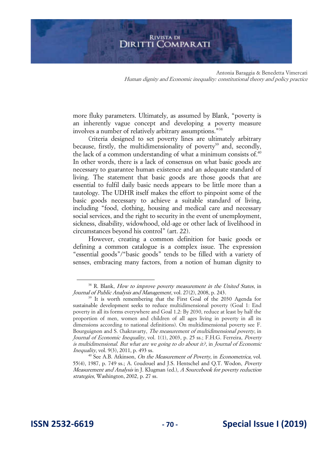Antonia Baraggia & Benedetta Vimercati Human dignity and Economic inequality: constitutional theory and policy practice

more fluky parameters. Ultimately, as assumed by Blank, "poverty is an inherently vague concept and developing a poverty measure involves a number of relatively arbitrary assumptions."<sup>38</sup>

Criteria designed to set poverty lines are ultimately arbitrary because, firstly, the multidimensionality of poverty<sup>39</sup> and, secondly, the lack of a common understanding of what a minimum consists of. $40$ In other words, there is a lack of consensus on what basic goods are necessary to guarantee human existence and an adequate standard of living. The statement that basic goods are those goods that are essential to fulfil daily basic needs appears to be little more than a tautology. The UDHR itself makes the effort to pinpoint some of the basic goods necessary to achieve a suitable standard of living, including "food, clothing, housing and medical care and necessary social services, and the right to security in the event of unemployment, sickness, disability, widowhood, old-age or other lack of livelihood in circumstances beyond his control" (art. 22).

However, creating a common definition for basic goods or defining a common catalogue is a complex issue. The expression "essential goods"/"basic goods" tends to be filled with a variety of senses, embracing many factors, from a notion of human dignity to

 $38$  R. Blank, How to improve poverty measurement in the United States, in Journal of Public Analysis and Management, vol. 27(2), 2008, p. 243.

<sup>&</sup>lt;sup>39</sup> It is worth remembering that the First Goal of the 2030 Agenda for sustainable development seeks to reduce multidimensional poverty (Goal 1: End poverty in all its forms everywhere and Goal 1.2: By 2030, reduce at least by half the proportion of men, women and children of all ages living in poverty in all its dimensions according to national definitions). On multidimensional poverty see F. Bourguignon and S. Chakravarty, The measurement of multidimensional poverty, in Journal of Economic Inequality, vol. 1(1), 2003, p. 25 ss.; F.H.G. Ferreira, Poverty is multidimensional. But what are we going to do about it?, in Journal of Economic Inequality, vol. 9(3), 2011, p. 493 ss.

 $40$  See A.B. Atkinson, *On the Measurement of Poverty*, in *Econometrica*, vol. 55(4), 1987, p. 749 ss.; A. Coudouel and J.S. Hentschel and Q.T. Wodon, Poverty Measurement and Analysis in J. Klugman (ed.), A Sourcebook for poverty reduction strategies, Washington, 2002, p. 27 ss.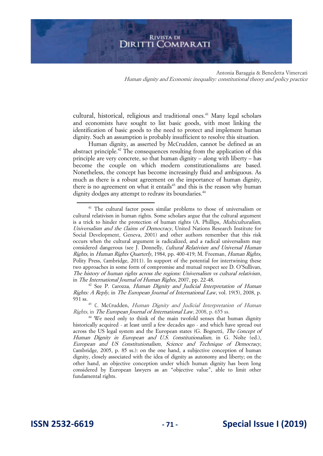Antonia Baraggia & Benedetta Vimercati Human dignity and Economic inequality: constitutional theory and policy practice

cultural, historical, religious and traditional ones.<sup>41</sup> Many legal scholars and economists have sought to list basic goods, with most linking the identification of basic goods to the need to protect and implement human dignity. Such an assumption is probably insufficient to resolve this situation.

Human dignity, as asserted by McCrudden, cannot be defined as an abstract principle.<sup>42</sup> The consequences resulting from the application of this principle are very concrete, so that human dignity – along with liberty – has become the couple on which modern constitutionalisms are based. Nonetheless, the concept has become increasingly fluid and ambiguous. As much as there is a robust agreement on the importance of human dignity, there is no agreement on what it entails<sup>43</sup> and this is the reason why human dignity dodges any attempt to redraw its boundaries.<sup>44</sup>

<sup>&</sup>lt;sup>41</sup> The cultural factor poses similar problems to those of universalism or cultural relativism in human rights. Some scholars argue that the cultural argument is a trick to hinder the protection of human rights (A. Phillips, Multiculturalism, Universalism and the Claims of Democracy, United Nations Research Institute for Social Development, Geneva, 2001) and other authors remember that this risk occurs when the cultural argument is radicalized, and a radical universalism may considered dangerous (see J. Donnelly, Cultural Relativism and Universal Human Rights, in Human Rights Quarterly, 1984, pp. 400-419; M. Freeman, Human Rights, Polity Press, Cambridge, 2011). In support of the potential for intertwining these two approaches in some form of compromise and mutual respect see D. O'Sullivan, The history of human rights across the regions: Universalism vs cultural relativism, in The International Journal of Human Rights, 2007, pp. 22-48.

<sup>&</sup>lt;sup>42</sup> See P. Carozza, Human Dignity and Judicial Interpretation of Human Rights: A Reply, in The European Journal of International Law, vol. 19(5), 2008, p. 931 ss.

<sup>43</sup> C. McCrudden, Human Dignity and Judicial Interpretation of Human Rights, in The European Journal of International Law, 2008, p. 655 ss.

<sup>&</sup>lt;sup>44</sup> We need only to think of the main twofold senses that human dignity historically acquired - at least until a few decades ago - and which have spread out across the US legal system and the European states (G. Bognetti, The Concept of Human Dignity in European and U.S. Constitutionalism, in G. Nolte (ed.), European and US Constitutionalism, Science and Technique of Democracy, Cambridge, 2005, p. 85 ss.): on the one hand, a subjective conception of human dignity, closely associated with the idea of dignity as autonomy and liberty; on the other hand, an objective conception under which human dignity has been long considered by European lawyers as an "objective value", able to limit other fundamental rights.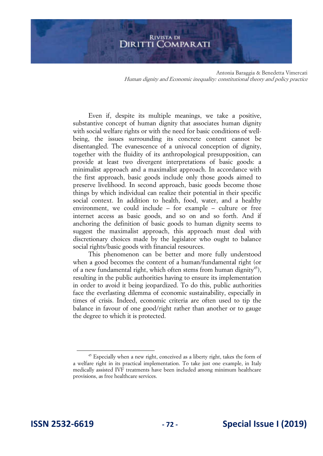#### **RIVISTA DI** DIRITTI COMPARATI

Antonia Baraggia & Benedetta Vimercati Human dignity and Economic inequality: constitutional theory and policy practice

Even if, despite its multiple meanings, we take a positive, substantive concept of human dignity that associates human dignity with social welfare rights or with the need for basic conditions of wellbeing, the issues surrounding its concrete content cannot be disentangled. The evanescence of a univocal conception of dignity, together with the fluidity of its anthropological presupposition, can provide at least two divergent interpretations of basic goods: a minimalist approach and a maximalist approach. In accordance with the first approach, basic goods include only those goods aimed to preserve livelihood. In second approach, basic goods become those things by which individual can realize their potential in their specific social context. In addition to health, food, water, and a healthy environment, we could include – for example – culture or free internet access as basic goods, and so on and so forth. And if anchoring the definition of basic goods to human dignity seems to suggest the maximalist approach, this approach must deal with discretionary choices made by the legislator who ought to balance social rights/basic goods with financial resources.

This phenomenon can be better and more fully understood when a good becomes the content of a human/fundamental right (or of a new fundamental right, which often stems from human dignity<sup>45</sup>), resulting in the public authorities having to ensure its implementation in order to avoid it being jeopardized. To do this, public authorities face the everlasting dilemma of economic sustainability, especially in times of crisis. Indeed, economic criteria are often used to tip the balance in favour of one good/right rather than another or to gauge the degree to which it is protected.

<sup>&</sup>lt;sup>45</sup> Especially when a new right, conceived as a liberty right, takes the form of a welfare right in its practical implementation. To take just one example, in Italy medically assisted IVF treatments have been included among minimum healthcare provisions, as free healthcare services.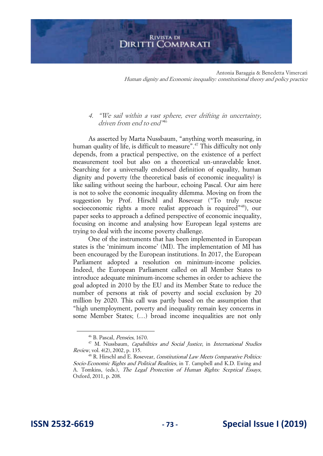Antonia Baraggia & Benedetta Vimercati Human dignity and Economic inequality: constitutional theory and policy practice

4. "We sail within a vast sphere, ever drifting in uncertainty, driven from end to end" 46

As asserted by Marta Nussbaum, "anything worth measuring, in human quality of life, is difficult to measure".<sup>47</sup> This difficulty not only depends, from a practical perspective, on the existence of a perfect measurement tool but also on a theoretical un-unravelable knot. Searching for a universally endorsed definition of equality, human dignity and poverty (the theoretical basis of economic inequality) is like sailing without seeing the harbour, echoing Pascal. Our aim here is not to solve the economic inequality dilemma. Moving on from the suggestion by Prof. Hirschl and Rosevear ("To truly rescue socioeconomic rights a more realist approach is required"<sup>48</sup>), our paper seeks to approach a defined perspective of economic inequality, focusing on income and analysing how European legal systems are trying to deal with the income poverty challenge.

One of the instruments that has been implemented in European states is the 'minimum income' (MI). The implementation of MI has been encouraged by the European institutions. In 2017, the European Parliament adopted a resolution on minimum-income policies. Indeed, the European Parliament called on all Member States to introduce adequate minimum-income schemes in order to achieve the goal adopted in 2010 by the EU and its Member State to reduce the number of persons at risk of poverty and social exclusion by 20 million by 2020. This call was partly based on the assumption that "high unemployment, poverty and inequality remain key concerns in some Member States; (…) broad income inequalities are not only

<sup>&</sup>lt;sup>46</sup> B. Pascal, Pensées, 1670.

<sup>&</sup>lt;sup>47</sup> M. Nussbaum, *Capabilities and Social Justice*, in *International Studies* Review, vol. 4(2), 2002, p. 135.

<sup>&</sup>lt;sup>48</sup> R. Hirschl and E. Rosevear, *Constitutional Law Meets Comparative Politics:* Socio-Economic Rights and Political Realities, in T. Campbell and K.D. Ewing and A. Tomkins, (eds.), The Legal Protection of Human Rights: Sceptical Essays, Oxford, 2011, p. 208.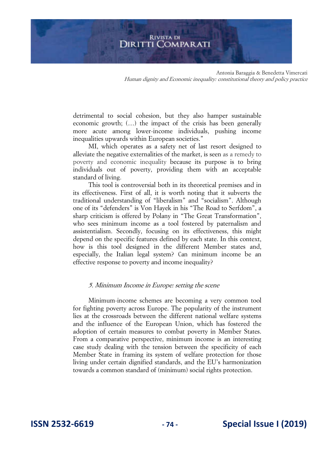## **RIVISTA DI** DIRITTI COMPARATI

Antonia Baraggia & Benedetta Vimercati Human dignity and Economic inequality: constitutional theory and policy practice

detrimental to social cohesion, but they also hamper sustainable economic growth; (…) the impact of the crisis has been generally more acute among lower-income individuals, pushing income inequalities upwards within European societies."

MI, which operates as a safety net of last resort designed to alleviate the negative externalities of the market, is seen as a remedy to poverty and economic inequality because its purpose is to bring individuals out of poverty, providing them with an acceptable standard of living.

This tool is controversial both in its theoretical premises and in its effectiveness. First of all, it is worth noting that it subverts the traditional understanding of "liberalism" and "socialism". Although one of its "defenders" is Von Hayek in his "The Road to Serfdom", a sharp criticism is offered by Polany in "The Great Transformation", who sees minimum income as a tool fostered by paternalism and assistentialism. Secondly, focusing on its effectiveness, this might depend on the specific features defined by each state. In this context, how is this tool designed in the different Member states and, especially, the Italian legal system? Can minimum income be an effective response to poverty and income inequality?

#### 5. Minimum Income in Europe: setting the scene

Minimum-income schemes are becoming a very common tool for fighting poverty across Europe. The popularity of the instrument lies at the crossroads between the different national welfare systems and the influence of the European Union, which has fostered the adoption of certain measures to combat poverty in Member States. From a comparative perspective, minimum income is an interesting case study dealing with the tension between the specificity of each Member State in framing its system of welfare protection for those living under certain dignified standards, and the EU's harmonization towards a common standard of (minimum) social rights protection.

**ISSN 2532-6619 - 74 - Special Issue I (2019)**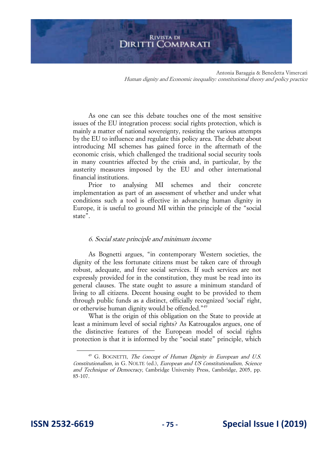Antonia Baraggia & Benedetta Vimercati Human dignity and Economic inequality: constitutional theory and policy practice

As one can see this debate touches one of the most sensitive issues of the EU integration process: social rights protection, which is mainly a matter of national sovereignty, resisting the various attempts by the EU to influence and regulate this policy area. The debate about introducing MI schemes has gained force in the aftermath of the economic crisis, which challenged the traditional social security tools in many countries affected by the crisis and, in particular, by the austerity measures imposed by the EU and other international financial institutions.

Prior to analysing MI schemes and their concrete implementation as part of an assessment of whether and under what conditions such a tool is effective in advancing human dignity in Europe, it is useful to ground MI within the principle of the "social state".

#### 6. Social state principle and minimum income

As Bognetti argues, "in contemporary Western societies, the dignity of the less fortunate citizens must be taken care of through robust, adequate, and free social services. If such services are not expressly provided for in the constitution, they must be read into its general clauses. The state ought to assure a minimum standard of living to all citizens. Decent housing ought to be provided to them through public funds as a distinct, officially recognized 'social' right, or otherwise human dignity would be offended."<sup>49</sup>

What is the origin of this obligation on the State to provide at least a minimum level of social rights? As Katrougalos argues, one of the distinctive features of the European model of social rights protection is that it is informed by the "social state" principle, which

 $49$  G. BOGNETTI, The Concept of Human Dignity in European and U.S. Constitutionalism, in G. NOLTE (ed.), European and US Constitutionalism, Science and Technique of Democracy, Cambridge University Press, Cambridge, 2005, pp. 85-107.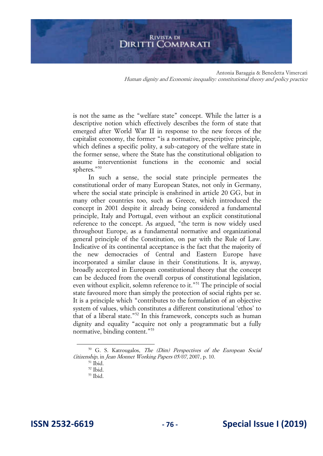Antonia Baraggia & Benedetta Vimercati Human dignity and Economic inequality: constitutional theory and policy practice

is not the same as the "welfare state" concept. While the latter is a descriptive notion which effectively describes the form of state that emerged after World War II in response to the new forces of the capitalist economy, the former "is a normative, prescriptive principle, which defines a specific polity, a sub-category of the welfare state in the former sense, where the State has the constitutional obligation to assume interventionist functions in the economic and social spheres."<sup>50</sup>

In such a sense, the social state principle permeates the constitutional order of many European States, not only in Germany, where the social state principle is enshrined in article 20 GG, but in many other countries too, such as Greece, which introduced the concept in 2001 despite it already being considered a fundamental principle, Italy and Portugal, even without an explicit constitutional reference to the concept. As argued, "the term is now widely used throughout Europe, as a fundamental normative and organizational general principle of the Constitution, on par with the Rule of Law. Indicative of its continental acceptance is the fact that the majority of the new democracies of Central and Eastern Europe have incorporated a similar clause in their Constitutions. It is, anyway, broadly accepted in European constitutional theory that the concept can be deduced from the overall corpus of constitutional legislation, even without explicit, solemn reference to it."<sup>51</sup> The principle of social state favoured more than simply the protection of social rights per se. It is a principle which "contributes to the formulation of an objective system of values, which constitutes a different constitutional 'ethos' to that of a liberal state."<sup>52</sup> In this framework, concepts such as human dignity and equality "acquire not only a programmatic but a fully normative, binding content."<sup>53</sup>

<sup>&</sup>lt;sup>50</sup> G. S. Katrougalos, *The (Dim) Perspectives of the European Social* Citizenship, in Jean Monnet Working Papers 05/07, 2007, p. 10.

<sup>51</sup> Ibid.

<sup>52</sup> Ibid.

<sup>53</sup> Ibid.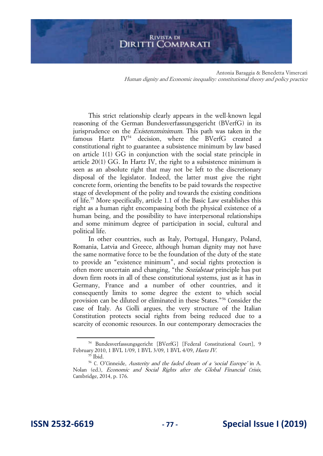Antonia Baraggia & Benedetta Vimercati Human dignity and Economic inequality: constitutional theory and policy practice

This strict relationship clearly appears in the well-known legal reasoning of the German Bundesverfassungsgericht (BVerfG) in its jurisprudence on the *Existenzminimum*. This path was taken in the famous Hartz  $IV^{54}$  decision, where the BVerfG created a constitutional right to guarantee a subsistence minimum by law based on article 1(1) GG in conjunction with the social state principle in article 20(1) GG. In Hartz IV, the right to a subsistence minimum is seen as an absolute right that may not be left to the discretionary disposal of the legislator. Indeed, the latter must give the right concrete form, orienting the benefits to be paid towards the respective stage of development of the polity and towards the existing conditions of life.<sup>55</sup> More specifically, article 1.1 of the Basic Law establishes this right as a human right encompassing both the physical existence of a human being, and the possibility to have interpersonal relationships and some minimum degree of participation in social, cultural and political life.

In other countries, such as Italy, Portugal, Hungary, Poland, Romania, Latvia and Greece, although human dignity may not have the same normative force to be the foundation of the duty of the state to provide an "existence minimum", and social rights protection is often more uncertain and changing, "the Sozialstaat principle has put down firm roots in all of these constitutional systems, just as it has in Germany, France and a number of other countries, and it consequently limits to some degree the extent to which social provision can be diluted or eliminated in these States."<sup>56</sup> Consider the case of Italy. As Ciolli argues, the very structure of the Italian Constitution protects social rights from being reduced due to a scarcity of economic resources. In our contemporary democracies the

<sup>54</sup> Bundesverfassungsgericht [BVerfG] [Federal Constitutional Court], 9 February 2010, 1 BVL 1/09, 1 BVL 3/09, 1 BVL 4/09, Hartz IV.

 $55$  Ibid.

<sup>56</sup> C. O'Cinneide, Austerity and the faded dream of a 'social Europe' in A. Nolan (ed.), Economic and Social Rights after the Global Financial Crisis, Cambridge, 2014, p. 176.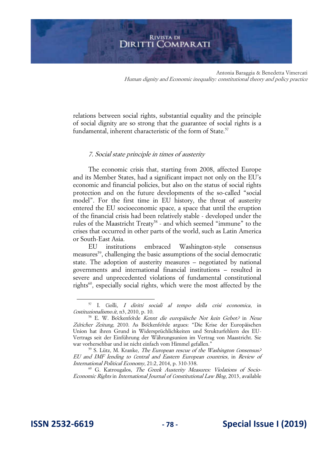Antonia Baraggia & Benedetta Vimercati Human dignity and Economic inequality: constitutional theory and policy practice

relations between social rights, substantial equality and the principle of social dignity are so strong that the guarantee of social rights is a fundamental, inherent characteristic of the form of State.<sup>57</sup>

#### 7. Social state principle in times of austerity

The economic crisis that, starting from 2008, affected Europe and its Member States, had a significant impact not only on the EU's economic and financial policies, but also on the status of social rights protection and on the future developments of the so-called "social model". For the first time in EU history, the threat of austerity entered the EU socioeconomic space, a space that until the eruption of the financial crisis had been relatively stable - developed under the rules of the Maastricht Treaty<sup>58</sup> - and which seemed "immune" to the crises that occurred in other parts of the world, such as Latin America or South-East Asia.

EU institutions embraced Washington-style consensus measures<sup>59</sup>, challenging the basic assumptions of the social democratic state. The adoption of austerity measures – negotiated by national governments and international financial institutions – resulted in severe and unprecedented violations of fundamental constitutional rights<sup>60</sup>, especially social rights, which were the most affected by the

<sup>60</sup> G. Katrougalos, *The Greek Austerity Measures: Violations of Socio-*Economic Rights in International Journal of Constitutional Law Blog, 2013, available

<sup>57</sup> I. Ciolli, I diritti sociali al tempo della crisi economica, in Costituzionalismo.it, n3, 2010, p. 10.

<sup>58</sup> E. W. Böckenförde Kennt die europäische Not kein Gebot? in Neue Zu*̈*richer Zeitung, 2010. As Böckenförde argues: "Die Krise der Europäischen Union hat ihren Grund in Widersprüchlichkeiten und Strukturfehlern des EU-Vertrags seit der Einführung der Währungsunion im Vertrag von Maastricht. Sie war vorhersehbar und ist nicht einfach vom Himmel gefallen."

 $^{59}$  S. Lütz, M. Kranke, *The European rescue of the Washington Consensus?* EU and IMF lending to Central and Eastern European countries, in Review of International Political Economy, 21:2, 2014, p. 310-338.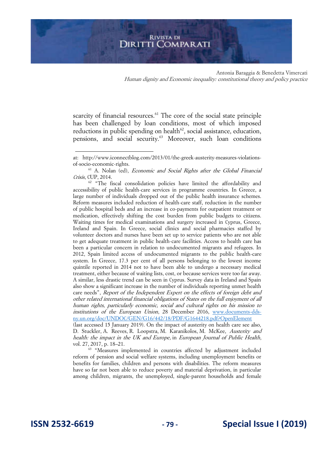scarcity of financial resources.<sup>61</sup> The core of the social state principle has been challenged by loan conditions, most of which imposed reductions in public spending on health $62$ , social assistance, education, pensions, and social security.<sup>63</sup> Moreover, such loan conditions

<sup>62</sup> "The fiscal consolidation policies have limited the affordability and accessibility of public health-care services in programme countries. In Greece, a large number of individuals dropped out of the public health insurance schemes. Reform measures included reduction of health-care staff, reduction in the number of public hospital beds and an increase in co-payments for outpatient treatment or medication, effectively shifting the cost burden from public budgets to citizens. Waiting times for medical examinations and surgery increased in Cyprus, Greece, Ireland and Spain. In Greece, social clinics and social pharmacies staffed by volunteer doctors and nurses have been set up to service patients who are not able to get adequate treatment in public health-care facilities. Access to health care has been a particular concern in relation to undocumented migrants and refugees. In 2012, Spain limited access of undocumented migrants to the public health-care system. In Greece, 17.3 per cent of all persons belonging to the lowest income quintile reported in 2014 not to have been able to undergo a necessary medical treatment, either because of waiting lists, cost, or because services were too far away. A similar, less drastic trend can be seen in Cyprus. Survey data in Ireland and Spain also show a significant increase in the number of individuals reporting unmet health care needs", Report of the Independent Expert on the effects of foreign debt and other related international financial obligations of States on the full enjoyment of all human rights, particularly economic, social and cultural rights on his mission to institutions of the European Union, 28 December 2016, [www.documents-dds](http://www.documents-dds-ny.un.org/doc/UNDOC/GEN/G16/442/18/PDF/G1644218.pdf?OpenElement)[ny.un.org/doc/UNDOC/GEN/G16/442/18/PDF/G1644218.pdf?OpenElement](http://www.documents-dds-ny.un.org/doc/UNDOC/GEN/G16/442/18/PDF/G1644218.pdf?OpenElement)

(last accessed 15 January 2019). On the impact of austerity on health care see also, D. Stuckler, A. Reeves, R. Loopstra, M. Karanikolos, M. McKee, Austerity and health: the impact in the UK and Europe, in European Journal of Public Health, vol. 27, 2017, p. 18–21.

<sup>63</sup> "Measures implemented in countries affected by adjustment included reform of pension and social welfare systems, including unemployment benefits or benefits for families, children and persons with disabilities. The reform measures have so far not been able to reduce poverty and material deprivation, in particular among children, migrants, the unemployed, single-parent households and female

at: http://www.iconnectblog.com/2013/01/the-greek-austerity-measures-violationsof-socio-economic-rights.

<sup>61</sup> A. Nolan (ed), Economic and Social Rights after the Global Financial Crisis, CUP, 2014.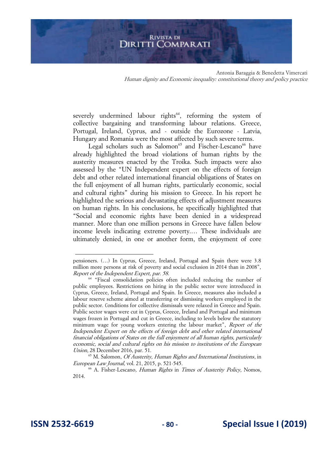Antonia Baraggia & Benedetta Vimercati Human dignity and Economic inequality: constitutional theory and policy practice

severely undermined labour rights<sup>64</sup>, reforming the system of collective bargaining and transforming labour relations. Greece, Portugal, Ireland, Cyprus, and - outside the Eurozone - Latvia, Hungary and Romania were the most affected by such severe terms.

Legal scholars such as Salomon<sup>65</sup> and Fischer-Lescano<sup>66</sup> have already highlighted the broad violations of human rights by the austerity measures enacted by the Troika. Such impacts were also assessed by the "UN Independent expert on the effects of foreign debt and other related international financial obligations of States on the full enjoyment of all human rights, particularly economic, social and cultural rights" during his mission to Greece. In his report he highlighted the serious and devastating effects of adjustment measures on human rights. In his conclusions, he specifically highlighted that "Social and economic rights have been denied in a widespread manner. More than one million persons in Greece have fallen below income levels indicating extreme poverty.… These individuals are ultimately denied, in one or another form, the enjoyment of core

pensioners. (…) In Cyprus, Greece, Ireland, Portugal and Spain there were 3.8 million more persons at risk of poverty and social exclusion in 2014 than in 2008", Report of the Independent Expert, par. 58.

<sup>&</sup>lt;sup>64</sup> "Fiscal consolidation policies often included reducing the number of public employees. Restrictions on hiring in the public sector were introduced in Cyprus, Greece, Ireland, Portugal and Spain. In Greece, measures also included a labour reserve scheme aimed at transferring or dismissing workers employed in the public sector. Conditions for collective dismissals were relaxed in Greece and Spain. Public sector wages were cut in Cyprus, Greece, Ireland and Portugal and minimum wages frozen in Portugal and cut in Greece, including to levels below the statutory minimum wage for young workers entering the labour market", Report of the Independent Expert on the effects of foreign debt and other related international financial obligations of States on the full enjoyment of all human rights, particularly economic, social and cultural rights on his mission to institutions of the European Union, 28 December 2016, par. 51.

 $65$  M. Salomon, *Of Austerity, Human Rights and International Institutions*, in European Law Journal, vol. 21, 2015, p. 521-545.

<sup>&</sup>lt;sup>66</sup> A. Fisher-Lescano, *Human Rights* in *Times of Austerity Policy*, Nomos, 2014.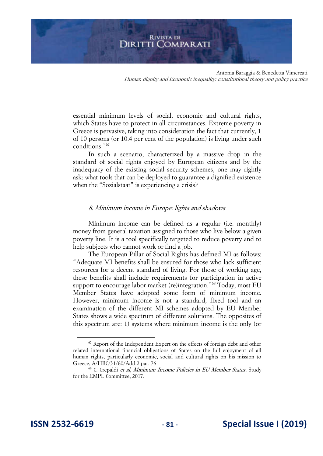Antonia Baraggia & Benedetta Vimercati Human dignity and Economic inequality: constitutional theory and policy practice

essential minimum levels of social, economic and cultural rights, which States have to protect in all circumstances. Extreme poverty in Greece is pervasive, taking into consideration the fact that currently, 1 of 10 persons (or 10.4 per cent of the population) is living under such conditions."<sup>67</sup>

In such a scenario, characterized by a massive drop in the standard of social rights enjoyed by European citizens and by the inadequacy of the existing social security schemes, one may rightly ask: what tools that can be deployed to guarantee a dignified existence when the "Sozialstaat" is experiencing a crisis?

#### 8. Minimum income in Europe: lights and shadows

Minimum income can be defined as a regular (i.e. monthly) money from general taxation assigned to those who live below a given poverty line. It is a tool specifically targeted to reduce poverty and to help subjects who cannot work or find a job.

The European Pillar of Social Rights has defined MI as follows: "Adequate MI benefits shall be ensured for those who lack sufficient resources for a decent standard of living. For those of working age, these benefits shall include requirements for participation in active support to encourage labor market (re)integration."<sup>68</sup> Today, most EU Member States have adopted some form of minimum income. However, minimum income is not a standard, fixed tool and an examination of the different MI schemes adopted by EU Member States shows a wide spectrum of different solutions. The opposites of this spectrum are: 1) systems where minimum income is the only (or

<sup>&</sup>lt;sup>67</sup> Report of the Independent Expert on the effects of foreign debt and other related international financial obligations of States on the full enjoyment of all human rights, particularly economic, social and cultural rights on his mission to Greece, A/HRC/31/60/Add.2 par. 76

<sup>&</sup>lt;sup>68</sup> C. Crepaldi et al, Minimum Income Policies in EU Member States, Study for the EMPL Committee, 2017.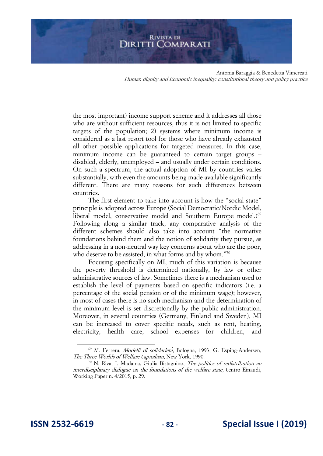## **RIVISTA DI** DIRITTI COMPARATI

Antonia Baraggia & Benedetta Vimercati Human dignity and Economic inequality: constitutional theory and policy practice

the most important) income support scheme and it addresses all those who are without sufficient resources, thus it is not limited to specific targets of the population; 2) systems where minimum income is considered as a last resort tool for those who have already exhausted all other possible applications for targeted measures. In this case, minimum income can be guaranteed to certain target groups – disabled, elderly, unemployed – and usually under certain conditions. On such a spectrum, the actual adoption of MI by countries varies substantially, with even the amounts being made available significantly different. There are many reasons for such differences between countries.

The first element to take into account is how the "social state" principle is adopted across Europe (Social Democratic/Nordic Model, liberal model, conservative model and Southern Europe model.)<sup>69</sup> Following along a similar track, any comparative analysis of the different schemes should also take into account "the normative foundations behind them and the notion of solidarity they pursue, as addressing in a non-neutral way key concerns about who are the poor, who deserve to be assisted, in what forms and by whom."<sup>70</sup>

Focusing specifically on MI, much of this variation is because the poverty threshold is determined nationally, by law or other administrative sources of law. Sometimes there is a mechanism used to establish the level of payments based on specific indicators (i.e. a percentage of the social pension or of the minimum wage); however, in most of cases there is no such mechanism and the determination of the minimum level is set discretionally by the public administration. Moreover, in several countries (Germany, Finland and Sweden), MI can be increased to cover specific needs, such as rent, heating, electricity, health care, school expenses for children, and

<sup>69</sup> M. Ferrera, Modelli di solidarieta*̀*, Bologna, 1993; G. Esping-Andersen, The Three Worlds of Welfare Capitalism, New York, 1990.

<sup>&</sup>lt;sup>70</sup> N. Riva, I. Madama, Giulia Bistagnino, *The politics of redistribution an* interdisciplinary dialogue on the foundations of the welfare state, Centro Einaudi, Working Paper n. 4/2015, p. 29.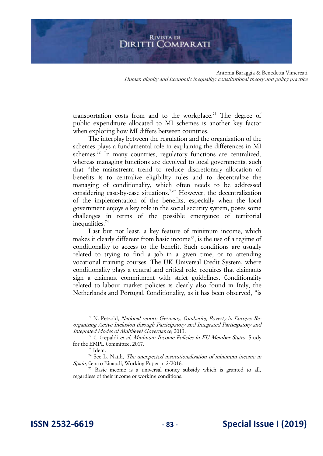Antonia Baraggia & Benedetta Vimercati Human dignity and Economic inequality: constitutional theory and policy practice

transportation costs from and to the workplace.<sup>71</sup> The degree of public expenditure allocated to MI schemes is another key factor when exploring how MI differs between countries.

The interplay between the regulation and the organization of the schemes plays a fundamental role in explaining the differences in MI schemes.<sup>72</sup> In many countries, regulatory functions are centralized, whereas managing functions are devolved to local governments, such that "the mainstream trend to reduce discretionary allocation of benefits is to centralize eligibility rules and to decentralize the managing of conditionality, which often needs to be addressed considering case-by-case situations.<sup>73</sup>" However, the decentralization of the implementation of the benefits, especially when the local government enjoys a key role in the social security system, poses some challenges in terms of the possible emergence of territorial inequalities.<sup>74</sup>

Last but not least, a key feature of minimum income, which makes it clearly different from basic income<sup>75</sup>, is the use of a regime of conditionality to access to the benefit. Such conditions are usually related to trying to find a job in a given time, or to attending vocational training courses. The UK Universal Credit System, where conditionality plays a central and critical role, requires that claimants sign a claimant commitment with strict guidelines. Conditionality related to labour market policies is clearly also found in Italy, the Netherlands and Portugal. Conditionality, as it has been observed, "is

<sup>71</sup> N. Petzold, National report: Germany, Combating Poverty in Europe: Reorganising Active Inclusion through Participatory and Integrated Participatory and Integrated Modes of Multilevel Governance, 2013.

 $72$  C. Crepaldi et al, Minimum Income Policies in EU Member States, Study for the EMPL Committee, 2017.

 $73$  Idem.

<sup>&</sup>lt;sup>74</sup> See L. Natili, *The unexpected institutionalization of minimum income in* Spain, Centro Einaudi, Working Paper n. 2/2016.

<sup>&</sup>lt;sup>75</sup> Basic income is a universal money subsidy which is granted to all, regardless of their income or working conditions.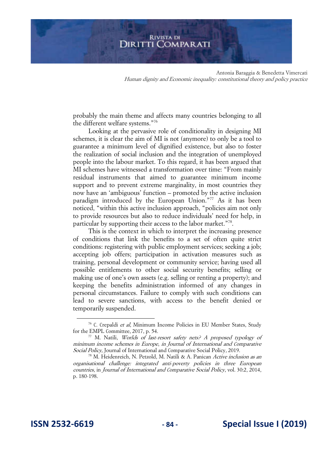Antonia Baraggia & Benedetta Vimercati Human dignity and Economic inequality: constitutional theory and policy practice

probably the main theme and affects many countries belonging to all the different welfare systems."<sup>76</sup>

Looking at the pervasive role of conditionality in designing MI schemes, it is clear the aim of MI is not (anymore) to only be a tool to guarantee a minimum level of dignified existence, but also to foster the realization of social inclusion and the integration of unemployed people into the labour market. To this regard, it has been argued that MI schemes have witnessed a transformation over time: "From mainly residual instruments that aimed to guarantee minimum income support and to prevent extreme marginality, in most countries they now have an 'ambiguous' function – promoted by the active inclusion paradigm introduced by the European Union."<sup>77</sup> As it has been noticed, "within this active inclusion approach, "policies aim not only to provide resources but also to reduce individuals' need for help, in particular by supporting their access to the labor market."<sup>78</sup>.

This is the context in which to interpret the increasing presence of conditions that link the benefits to a set of often quite strict conditions: registering with public employment services; seeking a job; accepting job offers; participation in activation measures such as training, personal development or community service; having used all possible entitlements to other social security benefits; selling or making use of one's own assets (e.g. selling or renting a property); and keeping the benefits administration informed of any changes in personal circumstances. Failure to comply with such conditions can lead to severe sanctions, with access to the benefit denied or temporarily suspended.

<sup>&</sup>lt;sup>76</sup> C. Crepaldi et al, Minimum Income Policies in EU Member States, Study for the EMPL Committee, 2017, p. 54.

 $77$  M. Natili, *Worlds of last-resort safety nets? A proposed typology of* minimum income schemes in Europe, in Journal of International and Comparative Social Policy, Journal of International and Comparative Social Policy, 2019.

<sup>&</sup>lt;sup>78</sup> M. Heidenreich, N. Petzold, M. Natili & A. Panican Active inclusion as an organisational challenge: integrated anti-poverty policies in three European countries, in Journal of International and Comparative Social Policy, vol. 30:2, 2014, p. 180-198.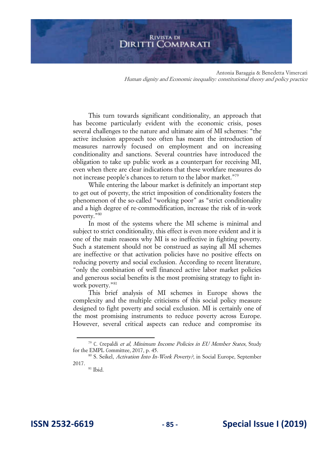Antonia Baraggia & Benedetta Vimercati Human dignity and Economic inequality: constitutional theory and policy practice

This turn towards significant conditionality, an approach that has become particularly evident with the economic crisis, poses several challenges to the nature and ultimate aim of MI schemes: "the active inclusion approach too often has meant the introduction of measures narrowly focused on employment and on increasing conditionality and sanctions. Several countries have introduced the obligation to take up public work as a counterpart for receiving MI, even when there are clear indications that these workfare measures do not increase people's chances to return to the labor market."<sup>79</sup>

While entering the labour market is definitely an important step to get out of poverty, the strict imposition of conditionality fosters the phenomenon of the so-called "working poor" as "strict conditionality and a high degree of re-commodification, increase the risk of in-work poverty."<sup>80</sup>

In most of the systems where the MI scheme is minimal and subject to strict conditionality, this effect is even more evident and it is one of the main reasons why MI is so ineffective in fighting poverty. Such a statement should not be construed as saying all MI schemes are ineffective or that activation policies have no positive effects on reducing poverty and social exclusion. According to recent literature, "only the combination of well financed active labor market policies and generous social benefits is the most promising strategy to fight inwork poverty."<sup>81</sup>

This brief analysis of MI schemes in Europe shows the complexity and the multiple criticisms of this social policy measure designed to fight poverty and social exclusion. MI is certainly one of the most promising instruments to reduce poverty across Europe. However, several critical aspects can reduce and compromise its

<sup>&</sup>lt;sup>79</sup> C. Crepaldi et al, Minimum Income Policies in EU Member States, Study for the EMPL Committee, 2017, p. 45.

<sup>&</sup>lt;sup>80</sup> S. Seikel, *Activation Into In-Work Poverty?*, in Social Europe, September 2017.

<sup>81</sup> Ibid.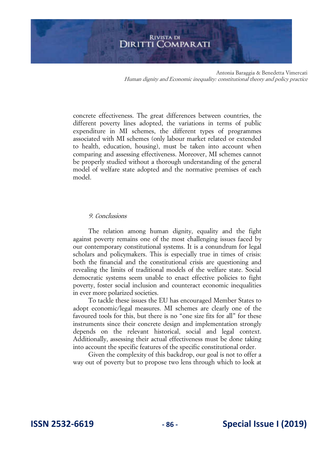# **RIVISTA DI** DIRITTI COMPARATI

Antonia Baraggia & Benedetta Vimercati Human dignity and Economic inequality: constitutional theory and policy practice

concrete effectiveness. The great differences between countries, the different poverty lines adopted, the variations in terms of public expenditure in MI schemes, the different types of programmes associated with MI schemes (only labour market related or extended to health, education, housing), must be taken into account when comparing and assessing effectiveness. Moreover, MI schemes cannot be properly studied without a thorough understanding of the general model of welfare state adopted and the normative premises of each model.

#### 9. Conclusions

The relation among human dignity, equality and the fight against poverty remains one of the most challenging issues faced by our contemporary constitutional systems. It is a conundrum for legal scholars and policymakers. This is especially true in times of crisis: both the financial and the constitutional crisis are questioning and revealing the limits of traditional models of the welfare state. Social democratic systems seem unable to enact effective policies to fight poverty, foster social inclusion and counteract economic inequalities in ever more polarized societies.

To tackle these issues the EU has encouraged Member States to adopt economic/legal measures. MI schemes are clearly one of the favoured tools for this, but there is no "one size fits for all" for these instruments since their concrete design and implementation strongly depends on the relevant historical, social and legal context. Additionally, assessing their actual effectiveness must be done taking into account the specific features of the specific constitutional order.

Given the complexity of this backdrop, our goal is not to offer a way out of poverty but to propose two lens through which to look at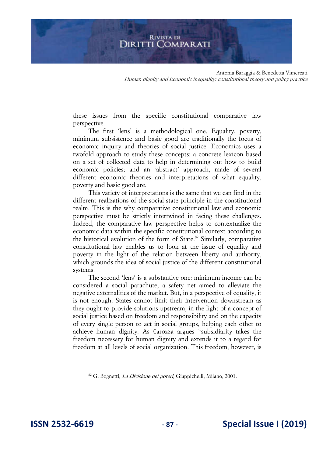#### **RIVISTA DI** DIRITTI COMPARATI

Antonia Baraggia & Benedetta Vimercati Human dignity and Economic inequality: constitutional theory and policy practice

these issues from the specific constitutional comparative law perspective.

The first 'lens' is a methodological one. Equality, poverty, minimum subsistence and basic good are traditionally the focus of economic inquiry and theories of social justice. Economics uses a twofold approach to study these concepts: a concrete lexicon based on a set of collected data to help in determining out how to build economic policies; and an 'abstract' approach, made of several different economic theories and interpretations of what equality, poverty and basic good are.

This variety of interpretations is the same that we can find in the different realizations of the social state principle in the constitutional realm. This is the why comparative constitutional law and economic perspective must be strictly intertwined in facing these challenges. Indeed, the comparative law perspective helps to contextualize the economic data within the specific constitutional context according to the historical evolution of the form of State.<sup>82</sup> Similarly, comparative constitutional law enables us to look at the issue of equality and poverty in the light of the relation between liberty and authority, which grounds the idea of social justice of the different constitutional systems.

The second 'lens' is a substantive one: minimum income can be considered a social parachute, a safety net aimed to alleviate the negative externalities of the market. But, in a perspective of equality, it is not enough. States cannot limit their intervention downstream as they ought to provide solutions upstream, in the light of a concept of social justice based on freedom and responsibility and on the capacity of every single person to act in social groups, helping each other to achieve human dignity. As Carozza argues "subsidiarity takes the freedom necessary for human dignity and extends it to a regard for freedom at all levels of social organization. This freedom, however, is

<sup>&</sup>lt;sup>82</sup> G. Bognetti, *La Divisione dei poteri*, Giappichelli, Milano, 2001.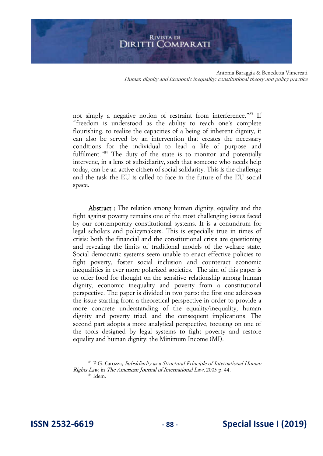Antonia Baraggia & Benedetta Vimercati Human dignity and Economic inequality: constitutional theory and policy practice

not simply a negative notion of restraint from interference."<sup>83</sup> If "freedom is understood as the ability to reach one's complete flourishing, to realize the capacities of a being of inherent dignity, it can also be served by an intervention that creates the necessary conditions for the individual to lead a life of purpose and fulfilment."<sup>84</sup> The duty of the state is to monitor and potentially intervene, in a lens of subsidiarity, such that someone who needs help today, can be an active citizen of social solidarity. This is the challenge and the task the EU is called to face in the future of the EU social space.

Abstract : The relation among human dignity, equality and the fight against poverty remains one of the most challenging issues faced by our contemporary constitutional systems. It is a conundrum for legal scholars and policymakers. This is especially true in times of crisis: both the financial and the constitutional crisis are questioning and revealing the limits of traditional models of the welfare state. Social democratic systems seem unable to enact effective policies to fight poverty, foster social inclusion and counteract economic inequalities in ever more polarized societies. The aim of this paper is to offer food for thought on the sensitive relationship among human dignity, economic inequality and poverty from a constitutional perspective. The paper is divided in two parts: the first one addresses the issue starting from a theoretical perspective in order to provide a more concrete understanding of the equality/inequality, human dignity and poverty triad, and the consequent implications. The second part adopts a more analytical perspective, focusing on one of the tools designed by legal systems to fight poverty and restore equality and human dignity: the Minimum Income (MI).

<sup>&</sup>lt;sup>83</sup> P.G. Carozza, *Subsidiarity as a Structural Principle of International Human* Rights Law, in The American Journal of International Law, 2003 p. 44. 84 Idem.